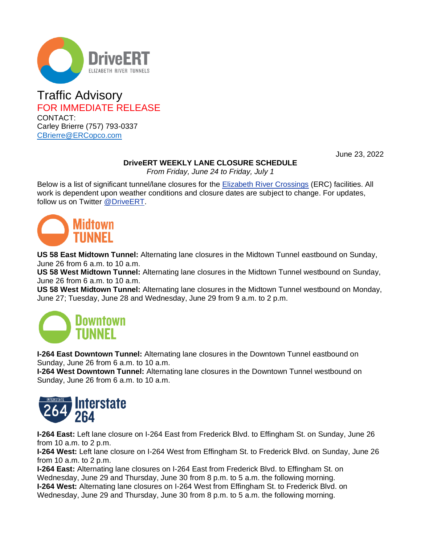

## Traffic Advisory FOR IMMEDIATE RELEASE CONTACT: Carley Brierre (757) 793-0337

[CBrierre@ERCopco.com](mailto:CBrierre@ERCopco.com)

June 23, 2022

## **DriveERT WEEKLY LANE CLOSURE SCHEDULE**

*From Friday, June 24 to Friday, July 1*

Below is a list of significant tunnel/lane closures for the [Elizabeth River Crossings](https://www.driveert.com/) (ERC) facilities. All work is dependent upon weather conditions and closure dates are subject to change. For updates, follow us on Twitter [@DriveERT.](https://twitter.com/DriveERT)



**US 58 East Midtown Tunnel:** Alternating lane closures in the Midtown Tunnel eastbound on Sunday, June 26 from 6 a.m. to 10 a.m.

**US 58 West Midtown Tunnel:** Alternating lane closures in the Midtown Tunnel westbound on Sunday, June 26 from 6 a.m. to 10 a.m.

**US 58 West Midtown Tunnel:** Alternating lane closures in the Midtown Tunnel westbound on Monday, June 27; Tuesday, June 28 and Wednesday, June 29 from 9 a.m. to 2 p.m.



**I-264 East Downtown Tunnel:** Alternating lane closures in the Downtown Tunnel eastbound on Sunday, June 26 from 6 a.m. to 10 a.m.

**I-264 West Downtown Tunnel:** Alternating lane closures in the Downtown Tunnel westbound on Sunday, June 26 from 6 a.m. to 10 a.m.



**I-264 East:** Left lane closure on I-264 East from Frederick Blvd. to Effingham St. on Sunday, June 26 from 10 a.m. to 2 p.m.

**I-264 West:** Left lane closure on I-264 West from Effingham St. to Frederick Blvd. on Sunday, June 26 from 10 a.m. to 2 p.m.

**I-264 East:** Alternating lane closures on I-264 East from Frederick Blvd. to Effingham St. on Wednesday, June 29 and Thursday, June 30 from 8 p.m. to 5 a.m. the following morning. **I-264 West:** Alternating lane closures on I-264 West from Effingham St. to Frederick Blvd. on

Wednesday, June 29 and Thursday, June 30 from 8 p.m. to 5 a.m. the following morning.